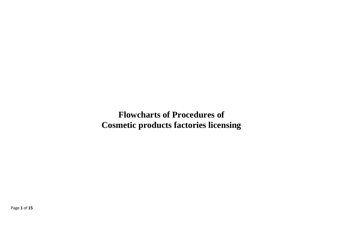**Flowcharts of Procedures of Cosmetic products factories licensing** 

Page **1** of **15**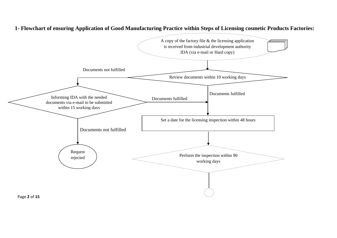

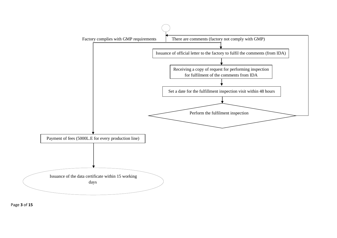

Page **3** of **15**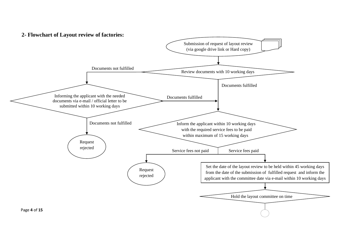## **2- Flowchart of Layout review of factories:**

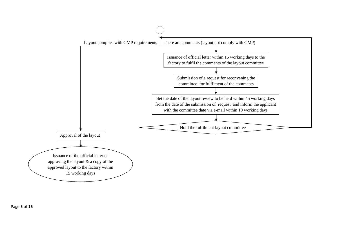

Page **5** of **15**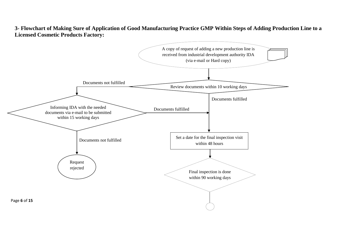**3- Flowchart of Making Sure of Application of Good Manufacturing Practice GMP Within Steps of Adding Production Line to a Licensed Cosmetic Products Factory:**

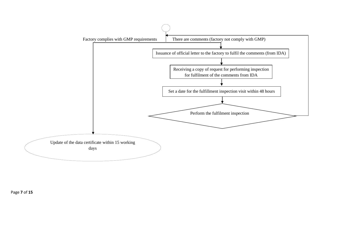

Page **7** of **15**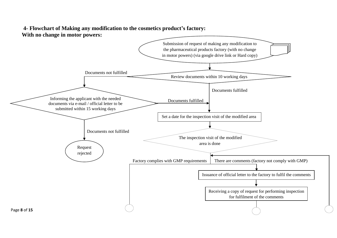## **4- Flowchart of Making any modification to the cosmetics product's factory: With no change in motor powers:**

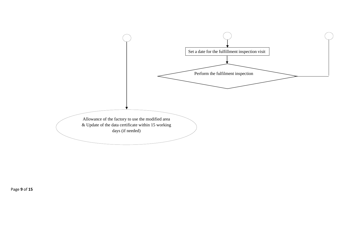

Page **9** of **15**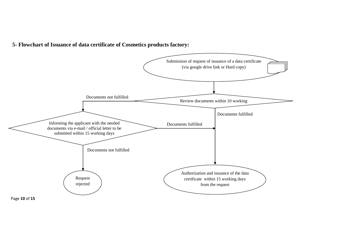**5- Flowchart of Issuance of data certificate of Cosmetics products factory:**

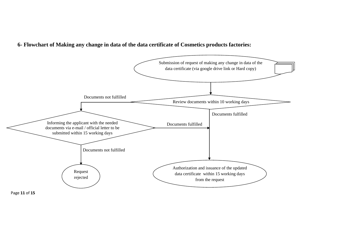**6- Flowchart of Making any change in data of the data certificate of Cosmetics products factories:**

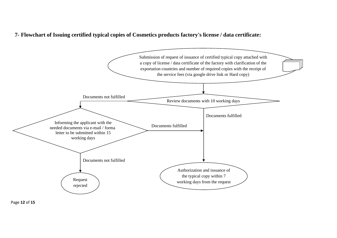**7- Flowchart of Issuing certified typical copies of Cosmetics products factory's license / data certificate:**



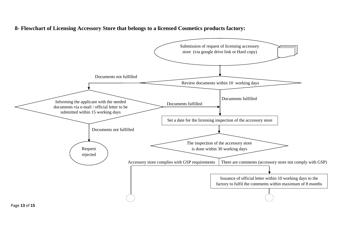**8- Flowchart of Licensing Accessory Store that belongs to a licensed Cosmetics products factory:**

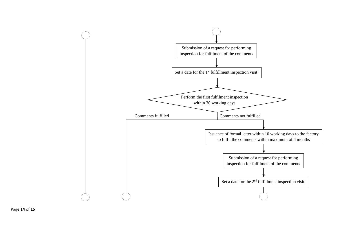